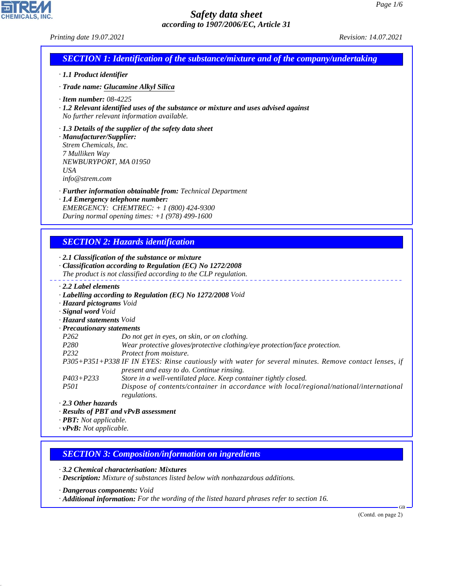CHEMICALS, INC.

44.1.1

| <b>SECTION 1: Identification of the substance/mixture and of the company/undertaking</b><br>· 1.1 Product identifier<br>· Trade name: Glucamine Alkyl Silica<br>$\cdot$ Item number: 08-4225<br>$\cdot$ 1.2 Relevant identified uses of the substance or mixture and uses advised against<br>No further relevant information available.<br>$\cdot$ 1.3 Details of the supplier of the safety data sheet<br>· Manufacturer/Supplier:<br>Strem Chemicals, Inc.<br>7 Mulliken Way<br>NEWBURYPORT, MA 01950<br><b>USA</b><br>info@stream.com<br>· Further information obtainable from: Technical Department<br>· 1.4 Emergency telephone number:<br>EMERGENCY: CHEMTREC: + 1 (800) 424-9300<br>During normal opening times: $+1$ (978) 499-1600<br><b>SECTION 2: Hazards identification</b><br>$\cdot$ 2.1 Classification of the substance or mixture<br>· Classification according to Regulation (EC) No 1272/2008<br>The product is not classified according to the CLP regulation.<br>$\cdot$ 2.2 Label elements<br>· Labelling according to Regulation (EC) No 1272/2008 Void<br>· Hazard pictograms Void<br>· Signal word Void<br>· Hazard statements Void<br>· Precautionary statements<br>P <sub>262</sub><br>Do not get in eyes, on skin, or on clothing.<br>P280<br>Wear protective gloves/protective clothing/eye protection/face protection.<br>P232<br>Protect from moisture.<br>present and easy to do. Continue rinsing.<br>$P403 + P233$<br>Store in a well-ventilated place. Keep container tightly closed.<br><i>P501</i><br>regulations.<br>$\cdot$ 2.3 Other hazards<br>· Results of PBT and vPvB assessment<br>$\cdot$ <b>PBT:</b> Not applicable.<br>$\cdot$ vPvB: Not applicable.<br><b>SECTION 3: Composition/information on ingredients</b><br>3.2 Chemical characterisation: Mixtures<br>· Description: Mixture of substances listed below with nonhazardous additions.<br>· Dangerous components: Void<br>· Additional information: For the wording of the listed hazard phrases refer to section 16. | P305+P351+P338 IF IN EYES: Rinse cautiously with water for several minutes. Remove contact lenses, if<br>Dispose of contents/container in accordance with local/regional/national/international<br>(Contd. on page 2) | Printing date 19.07.2021 | Revision: 14.07.2021 |
|-----------------------------------------------------------------------------------------------------------------------------------------------------------------------------------------------------------------------------------------------------------------------------------------------------------------------------------------------------------------------------------------------------------------------------------------------------------------------------------------------------------------------------------------------------------------------------------------------------------------------------------------------------------------------------------------------------------------------------------------------------------------------------------------------------------------------------------------------------------------------------------------------------------------------------------------------------------------------------------------------------------------------------------------------------------------------------------------------------------------------------------------------------------------------------------------------------------------------------------------------------------------------------------------------------------------------------------------------------------------------------------------------------------------------------------------------------------------------------------------------------------------------------------------------------------------------------------------------------------------------------------------------------------------------------------------------------------------------------------------------------------------------------------------------------------------------------------------------------------------------------------------------------------------------------------------------------------------------------------------------------------------------------|-----------------------------------------------------------------------------------------------------------------------------------------------------------------------------------------------------------------------|--------------------------|----------------------|
|                                                                                                                                                                                                                                                                                                                                                                                                                                                                                                                                                                                                                                                                                                                                                                                                                                                                                                                                                                                                                                                                                                                                                                                                                                                                                                                                                                                                                                                                                                                                                                                                                                                                                                                                                                                                                                                                                                                                                                                                                             |                                                                                                                                                                                                                       |                          |                      |
|                                                                                                                                                                                                                                                                                                                                                                                                                                                                                                                                                                                                                                                                                                                                                                                                                                                                                                                                                                                                                                                                                                                                                                                                                                                                                                                                                                                                                                                                                                                                                                                                                                                                                                                                                                                                                                                                                                                                                                                                                             |                                                                                                                                                                                                                       |                          |                      |
|                                                                                                                                                                                                                                                                                                                                                                                                                                                                                                                                                                                                                                                                                                                                                                                                                                                                                                                                                                                                                                                                                                                                                                                                                                                                                                                                                                                                                                                                                                                                                                                                                                                                                                                                                                                                                                                                                                                                                                                                                             |                                                                                                                                                                                                                       |                          |                      |
|                                                                                                                                                                                                                                                                                                                                                                                                                                                                                                                                                                                                                                                                                                                                                                                                                                                                                                                                                                                                                                                                                                                                                                                                                                                                                                                                                                                                                                                                                                                                                                                                                                                                                                                                                                                                                                                                                                                                                                                                                             |                                                                                                                                                                                                                       |                          |                      |
|                                                                                                                                                                                                                                                                                                                                                                                                                                                                                                                                                                                                                                                                                                                                                                                                                                                                                                                                                                                                                                                                                                                                                                                                                                                                                                                                                                                                                                                                                                                                                                                                                                                                                                                                                                                                                                                                                                                                                                                                                             |                                                                                                                                                                                                                       |                          |                      |
|                                                                                                                                                                                                                                                                                                                                                                                                                                                                                                                                                                                                                                                                                                                                                                                                                                                                                                                                                                                                                                                                                                                                                                                                                                                                                                                                                                                                                                                                                                                                                                                                                                                                                                                                                                                                                                                                                                                                                                                                                             |                                                                                                                                                                                                                       |                          |                      |
|                                                                                                                                                                                                                                                                                                                                                                                                                                                                                                                                                                                                                                                                                                                                                                                                                                                                                                                                                                                                                                                                                                                                                                                                                                                                                                                                                                                                                                                                                                                                                                                                                                                                                                                                                                                                                                                                                                                                                                                                                             |                                                                                                                                                                                                                       |                          |                      |
|                                                                                                                                                                                                                                                                                                                                                                                                                                                                                                                                                                                                                                                                                                                                                                                                                                                                                                                                                                                                                                                                                                                                                                                                                                                                                                                                                                                                                                                                                                                                                                                                                                                                                                                                                                                                                                                                                                                                                                                                                             |                                                                                                                                                                                                                       |                          |                      |
|                                                                                                                                                                                                                                                                                                                                                                                                                                                                                                                                                                                                                                                                                                                                                                                                                                                                                                                                                                                                                                                                                                                                                                                                                                                                                                                                                                                                                                                                                                                                                                                                                                                                                                                                                                                                                                                                                                                                                                                                                             |                                                                                                                                                                                                                       |                          |                      |
|                                                                                                                                                                                                                                                                                                                                                                                                                                                                                                                                                                                                                                                                                                                                                                                                                                                                                                                                                                                                                                                                                                                                                                                                                                                                                                                                                                                                                                                                                                                                                                                                                                                                                                                                                                                                                                                                                                                                                                                                                             |                                                                                                                                                                                                                       |                          |                      |
|                                                                                                                                                                                                                                                                                                                                                                                                                                                                                                                                                                                                                                                                                                                                                                                                                                                                                                                                                                                                                                                                                                                                                                                                                                                                                                                                                                                                                                                                                                                                                                                                                                                                                                                                                                                                                                                                                                                                                                                                                             |                                                                                                                                                                                                                       |                          |                      |
|                                                                                                                                                                                                                                                                                                                                                                                                                                                                                                                                                                                                                                                                                                                                                                                                                                                                                                                                                                                                                                                                                                                                                                                                                                                                                                                                                                                                                                                                                                                                                                                                                                                                                                                                                                                                                                                                                                                                                                                                                             |                                                                                                                                                                                                                       |                          |                      |
|                                                                                                                                                                                                                                                                                                                                                                                                                                                                                                                                                                                                                                                                                                                                                                                                                                                                                                                                                                                                                                                                                                                                                                                                                                                                                                                                                                                                                                                                                                                                                                                                                                                                                                                                                                                                                                                                                                                                                                                                                             |                                                                                                                                                                                                                       |                          |                      |
|                                                                                                                                                                                                                                                                                                                                                                                                                                                                                                                                                                                                                                                                                                                                                                                                                                                                                                                                                                                                                                                                                                                                                                                                                                                                                                                                                                                                                                                                                                                                                                                                                                                                                                                                                                                                                                                                                                                                                                                                                             |                                                                                                                                                                                                                       |                          |                      |
|                                                                                                                                                                                                                                                                                                                                                                                                                                                                                                                                                                                                                                                                                                                                                                                                                                                                                                                                                                                                                                                                                                                                                                                                                                                                                                                                                                                                                                                                                                                                                                                                                                                                                                                                                                                                                                                                                                                                                                                                                             |                                                                                                                                                                                                                       |                          |                      |
|                                                                                                                                                                                                                                                                                                                                                                                                                                                                                                                                                                                                                                                                                                                                                                                                                                                                                                                                                                                                                                                                                                                                                                                                                                                                                                                                                                                                                                                                                                                                                                                                                                                                                                                                                                                                                                                                                                                                                                                                                             |                                                                                                                                                                                                                       |                          |                      |
|                                                                                                                                                                                                                                                                                                                                                                                                                                                                                                                                                                                                                                                                                                                                                                                                                                                                                                                                                                                                                                                                                                                                                                                                                                                                                                                                                                                                                                                                                                                                                                                                                                                                                                                                                                                                                                                                                                                                                                                                                             |                                                                                                                                                                                                                       |                          |                      |
|                                                                                                                                                                                                                                                                                                                                                                                                                                                                                                                                                                                                                                                                                                                                                                                                                                                                                                                                                                                                                                                                                                                                                                                                                                                                                                                                                                                                                                                                                                                                                                                                                                                                                                                                                                                                                                                                                                                                                                                                                             |                                                                                                                                                                                                                       |                          |                      |
|                                                                                                                                                                                                                                                                                                                                                                                                                                                                                                                                                                                                                                                                                                                                                                                                                                                                                                                                                                                                                                                                                                                                                                                                                                                                                                                                                                                                                                                                                                                                                                                                                                                                                                                                                                                                                                                                                                                                                                                                                             |                                                                                                                                                                                                                       |                          |                      |
|                                                                                                                                                                                                                                                                                                                                                                                                                                                                                                                                                                                                                                                                                                                                                                                                                                                                                                                                                                                                                                                                                                                                                                                                                                                                                                                                                                                                                                                                                                                                                                                                                                                                                                                                                                                                                                                                                                                                                                                                                             |                                                                                                                                                                                                                       |                          |                      |
|                                                                                                                                                                                                                                                                                                                                                                                                                                                                                                                                                                                                                                                                                                                                                                                                                                                                                                                                                                                                                                                                                                                                                                                                                                                                                                                                                                                                                                                                                                                                                                                                                                                                                                                                                                                                                                                                                                                                                                                                                             |                                                                                                                                                                                                                       |                          |                      |
|                                                                                                                                                                                                                                                                                                                                                                                                                                                                                                                                                                                                                                                                                                                                                                                                                                                                                                                                                                                                                                                                                                                                                                                                                                                                                                                                                                                                                                                                                                                                                                                                                                                                                                                                                                                                                                                                                                                                                                                                                             |                                                                                                                                                                                                                       |                          |                      |
|                                                                                                                                                                                                                                                                                                                                                                                                                                                                                                                                                                                                                                                                                                                                                                                                                                                                                                                                                                                                                                                                                                                                                                                                                                                                                                                                                                                                                                                                                                                                                                                                                                                                                                                                                                                                                                                                                                                                                                                                                             |                                                                                                                                                                                                                       |                          |                      |
|                                                                                                                                                                                                                                                                                                                                                                                                                                                                                                                                                                                                                                                                                                                                                                                                                                                                                                                                                                                                                                                                                                                                                                                                                                                                                                                                                                                                                                                                                                                                                                                                                                                                                                                                                                                                                                                                                                                                                                                                                             |                                                                                                                                                                                                                       |                          |                      |
|                                                                                                                                                                                                                                                                                                                                                                                                                                                                                                                                                                                                                                                                                                                                                                                                                                                                                                                                                                                                                                                                                                                                                                                                                                                                                                                                                                                                                                                                                                                                                                                                                                                                                                                                                                                                                                                                                                                                                                                                                             |                                                                                                                                                                                                                       |                          |                      |
|                                                                                                                                                                                                                                                                                                                                                                                                                                                                                                                                                                                                                                                                                                                                                                                                                                                                                                                                                                                                                                                                                                                                                                                                                                                                                                                                                                                                                                                                                                                                                                                                                                                                                                                                                                                                                                                                                                                                                                                                                             |                                                                                                                                                                                                                       |                          |                      |
|                                                                                                                                                                                                                                                                                                                                                                                                                                                                                                                                                                                                                                                                                                                                                                                                                                                                                                                                                                                                                                                                                                                                                                                                                                                                                                                                                                                                                                                                                                                                                                                                                                                                                                                                                                                                                                                                                                                                                                                                                             |                                                                                                                                                                                                                       |                          |                      |
|                                                                                                                                                                                                                                                                                                                                                                                                                                                                                                                                                                                                                                                                                                                                                                                                                                                                                                                                                                                                                                                                                                                                                                                                                                                                                                                                                                                                                                                                                                                                                                                                                                                                                                                                                                                                                                                                                                                                                                                                                             |                                                                                                                                                                                                                       |                          |                      |
|                                                                                                                                                                                                                                                                                                                                                                                                                                                                                                                                                                                                                                                                                                                                                                                                                                                                                                                                                                                                                                                                                                                                                                                                                                                                                                                                                                                                                                                                                                                                                                                                                                                                                                                                                                                                                                                                                                                                                                                                                             |                                                                                                                                                                                                                       |                          |                      |
|                                                                                                                                                                                                                                                                                                                                                                                                                                                                                                                                                                                                                                                                                                                                                                                                                                                                                                                                                                                                                                                                                                                                                                                                                                                                                                                                                                                                                                                                                                                                                                                                                                                                                                                                                                                                                                                                                                                                                                                                                             |                                                                                                                                                                                                                       |                          |                      |
|                                                                                                                                                                                                                                                                                                                                                                                                                                                                                                                                                                                                                                                                                                                                                                                                                                                                                                                                                                                                                                                                                                                                                                                                                                                                                                                                                                                                                                                                                                                                                                                                                                                                                                                                                                                                                                                                                                                                                                                                                             |                                                                                                                                                                                                                       |                          |                      |
|                                                                                                                                                                                                                                                                                                                                                                                                                                                                                                                                                                                                                                                                                                                                                                                                                                                                                                                                                                                                                                                                                                                                                                                                                                                                                                                                                                                                                                                                                                                                                                                                                                                                                                                                                                                                                                                                                                                                                                                                                             |                                                                                                                                                                                                                       |                          |                      |
|                                                                                                                                                                                                                                                                                                                                                                                                                                                                                                                                                                                                                                                                                                                                                                                                                                                                                                                                                                                                                                                                                                                                                                                                                                                                                                                                                                                                                                                                                                                                                                                                                                                                                                                                                                                                                                                                                                                                                                                                                             |                                                                                                                                                                                                                       |                          |                      |
|                                                                                                                                                                                                                                                                                                                                                                                                                                                                                                                                                                                                                                                                                                                                                                                                                                                                                                                                                                                                                                                                                                                                                                                                                                                                                                                                                                                                                                                                                                                                                                                                                                                                                                                                                                                                                                                                                                                                                                                                                             |                                                                                                                                                                                                                       |                          |                      |
|                                                                                                                                                                                                                                                                                                                                                                                                                                                                                                                                                                                                                                                                                                                                                                                                                                                                                                                                                                                                                                                                                                                                                                                                                                                                                                                                                                                                                                                                                                                                                                                                                                                                                                                                                                                                                                                                                                                                                                                                                             |                                                                                                                                                                                                                       |                          |                      |
|                                                                                                                                                                                                                                                                                                                                                                                                                                                                                                                                                                                                                                                                                                                                                                                                                                                                                                                                                                                                                                                                                                                                                                                                                                                                                                                                                                                                                                                                                                                                                                                                                                                                                                                                                                                                                                                                                                                                                                                                                             |                                                                                                                                                                                                                       |                          |                      |
|                                                                                                                                                                                                                                                                                                                                                                                                                                                                                                                                                                                                                                                                                                                                                                                                                                                                                                                                                                                                                                                                                                                                                                                                                                                                                                                                                                                                                                                                                                                                                                                                                                                                                                                                                                                                                                                                                                                                                                                                                             |                                                                                                                                                                                                                       |                          |                      |
|                                                                                                                                                                                                                                                                                                                                                                                                                                                                                                                                                                                                                                                                                                                                                                                                                                                                                                                                                                                                                                                                                                                                                                                                                                                                                                                                                                                                                                                                                                                                                                                                                                                                                                                                                                                                                                                                                                                                                                                                                             |                                                                                                                                                                                                                       |                          |                      |
|                                                                                                                                                                                                                                                                                                                                                                                                                                                                                                                                                                                                                                                                                                                                                                                                                                                                                                                                                                                                                                                                                                                                                                                                                                                                                                                                                                                                                                                                                                                                                                                                                                                                                                                                                                                                                                                                                                                                                                                                                             |                                                                                                                                                                                                                       |                          |                      |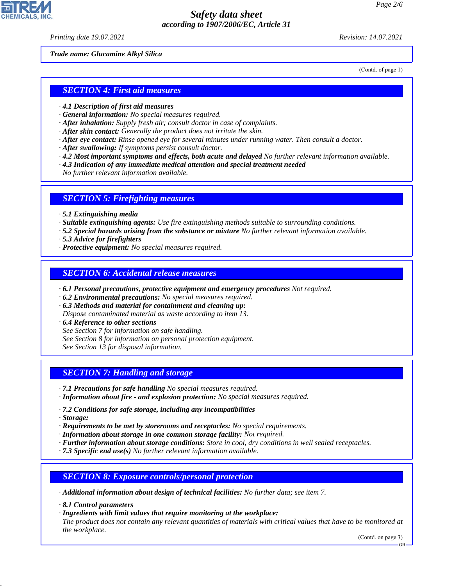*Printing date 19.07.2021 Revision: 14.07.2021*

*Trade name: Glucamine Alkyl Silica*

(Contd. of page 1)

#### *SECTION 4: First aid measures*

- *· 4.1 Description of first aid measures*
- *· General information: No special measures required.*
- *· After inhalation: Supply fresh air; consult doctor in case of complaints.*
- *· After skin contact: Generally the product does not irritate the skin.*
- *· After eye contact: Rinse opened eye for several minutes under running water. Then consult a doctor.*
- *· After swallowing: If symptoms persist consult doctor.*
- *· 4.2 Most important symptoms and effects, both acute and delayed No further relevant information available.*
- *· 4.3 Indication of any immediate medical attention and special treatment needed*

*No further relevant information available.*

#### *SECTION 5: Firefighting measures*

- *· 5.1 Extinguishing media*
- *· Suitable extinguishing agents: Use fire extinguishing methods suitable to surrounding conditions.*
- *· 5.2 Special hazards arising from the substance or mixture No further relevant information available.*
- *· 5.3 Advice for firefighters*
- *· Protective equipment: No special measures required.*

#### *SECTION 6: Accidental release measures*

- *· 6.1 Personal precautions, protective equipment and emergency procedures Not required.*
- *· 6.2 Environmental precautions: No special measures required.*
- *· 6.3 Methods and material for containment and cleaning up:*
- *Dispose contaminated material as waste according to item 13.*
- *· 6.4 Reference to other sections*
- *See Section 7 for information on safe handling.*
- *See Section 8 for information on personal protection equipment.*

*See Section 13 for disposal information.*

#### *SECTION 7: Handling and storage*

- *· 7.1 Precautions for safe handling No special measures required.*
- *· Information about fire and explosion protection: No special measures required.*
- *· 7.2 Conditions for safe storage, including any incompatibilities*
- *· Storage:*

44.1.1

- *· Requirements to be met by storerooms and receptacles: No special requirements.*
- *· Information about storage in one common storage facility: Not required.*
- *· Further information about storage conditions: Store in cool, dry conditions in well sealed receptacles.*
- *· 7.3 Specific end use(s) No further relevant information available.*

#### *SECTION 8: Exposure controls/personal protection*

*· Additional information about design of technical facilities: No further data; see item 7.*

- *· 8.1 Control parameters*
- *· Ingredients with limit values that require monitoring at the workplace:*

*The product does not contain any relevant quantities of materials with critical values that have to be monitored at the workplace.*

(Contd. on page 3)

GB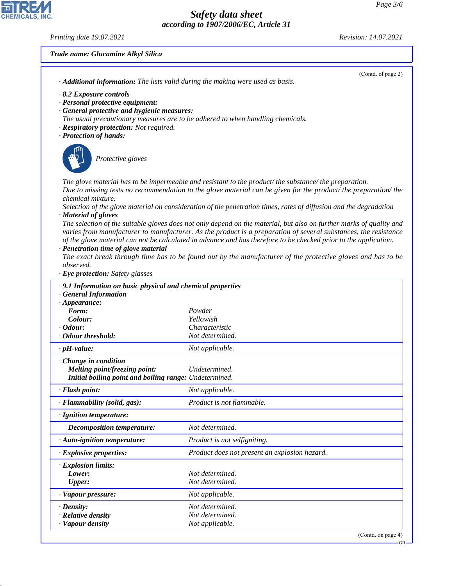#### *Printing date 19.07.2021 Revision: 14.07.2021*

CHEMICALS, INC.

44.1.1

## *Trade name: Glucamine Alkyl Silica*

| · <b>Additional information:</b> The lists valid during the making were used as basis. | (Contd. of page 2)                                                                                                                                                                                                                                                                                                                                                                                                                                                        |
|----------------------------------------------------------------------------------------|---------------------------------------------------------------------------------------------------------------------------------------------------------------------------------------------------------------------------------------------------------------------------------------------------------------------------------------------------------------------------------------------------------------------------------------------------------------------------|
| $\cdot$ 8.2 Exposure controls                                                          |                                                                                                                                                                                                                                                                                                                                                                                                                                                                           |
| · Personal protective equipment:                                                       |                                                                                                                                                                                                                                                                                                                                                                                                                                                                           |
| · General protective and hygienic measures:                                            |                                                                                                                                                                                                                                                                                                                                                                                                                                                                           |
| The usual precautionary measures are to be adhered to when handling chemicals.         |                                                                                                                                                                                                                                                                                                                                                                                                                                                                           |
| · Respiratory protection: Not required.                                                |                                                                                                                                                                                                                                                                                                                                                                                                                                                                           |
| · Protection of hands:                                                                 |                                                                                                                                                                                                                                                                                                                                                                                                                                                                           |
| Protective gloves                                                                      |                                                                                                                                                                                                                                                                                                                                                                                                                                                                           |
|                                                                                        | The glove material has to be impermeable and resistant to the product/ the substance/ the preparation.<br>Due to missing tests no recommendation to the glove material can be given for the product/ the preparation/ the                                                                                                                                                                                                                                                 |
| chemical mixture.                                                                      |                                                                                                                                                                                                                                                                                                                                                                                                                                                                           |
| · Material of gloves                                                                   | Selection of the glove material on consideration of the penetration times, rates of diffusion and the degradation                                                                                                                                                                                                                                                                                                                                                         |
| · Penetration time of glove material<br>observed.<br>· Eye protection: Safety glasses  | The selection of the suitable gloves does not only depend on the material, but also on further marks of quality and<br>varies from manufacturer to manufacturer. As the product is a preparation of several substances, the resistance<br>of the glove material can not be calculated in advance and has therefore to be checked prior to the application.<br>The exact break through time has to be found out by the manufacturer of the protective gloves and has to be |
|                                                                                        |                                                                                                                                                                                                                                                                                                                                                                                                                                                                           |
| · 9.1 Information on basic physical and chemical properties                            |                                                                                                                                                                                                                                                                                                                                                                                                                                                                           |
| <b>General Information</b><br>$\cdot$ Appearance:                                      |                                                                                                                                                                                                                                                                                                                                                                                                                                                                           |
| Form:                                                                                  | Powder                                                                                                                                                                                                                                                                                                                                                                                                                                                                    |
| Colour:                                                                                | Yellowish                                                                                                                                                                                                                                                                                                                                                                                                                                                                 |
| $\cdot$ Odour:                                                                         | Characteristic                                                                                                                                                                                                                                                                                                                                                                                                                                                            |
| · Odour threshold:                                                                     | Not determined.                                                                                                                                                                                                                                                                                                                                                                                                                                                           |
| $\cdot$ pH-value:                                                                      | Not applicable.                                                                                                                                                                                                                                                                                                                                                                                                                                                           |
| Change in condition                                                                    |                                                                                                                                                                                                                                                                                                                                                                                                                                                                           |
| Melting point/freezing point:                                                          | Undetermined.                                                                                                                                                                                                                                                                                                                                                                                                                                                             |
| Initial boiling point and boiling range: Undetermined.                                 |                                                                                                                                                                                                                                                                                                                                                                                                                                                                           |
| · Flash point:                                                                         | Not applicable.                                                                                                                                                                                                                                                                                                                                                                                                                                                           |
| · Flammability (solid, gas):                                                           | Product is not flammable.                                                                                                                                                                                                                                                                                                                                                                                                                                                 |
| · Ignition temperature:                                                                |                                                                                                                                                                                                                                                                                                                                                                                                                                                                           |
| <b>Decomposition temperature:</b>                                                      | Not determined.                                                                                                                                                                                                                                                                                                                                                                                                                                                           |
| · Auto-ignition temperature:                                                           | Product is not selfigniting.                                                                                                                                                                                                                                                                                                                                                                                                                                              |
| · Explosive properties:                                                                | Product does not present an explosion hazard.                                                                                                                                                                                                                                                                                                                                                                                                                             |
| · Explosion limits:                                                                    |                                                                                                                                                                                                                                                                                                                                                                                                                                                                           |
| Lower:                                                                                 | Not determined.                                                                                                                                                                                                                                                                                                                                                                                                                                                           |
| <b>Upper:</b>                                                                          | Not determined.                                                                                                                                                                                                                                                                                                                                                                                                                                                           |
| · Vapour pressure:                                                                     | Not applicable.                                                                                                                                                                                                                                                                                                                                                                                                                                                           |
| $\cdot$ Density:                                                                       | Not determined.                                                                                                                                                                                                                                                                                                                                                                                                                                                           |
| · Relative density                                                                     | Not determined.                                                                                                                                                                                                                                                                                                                                                                                                                                                           |
| · Vapour density                                                                       | Not applicable.                                                                                                                                                                                                                                                                                                                                                                                                                                                           |

(Contd. on page 4)

GB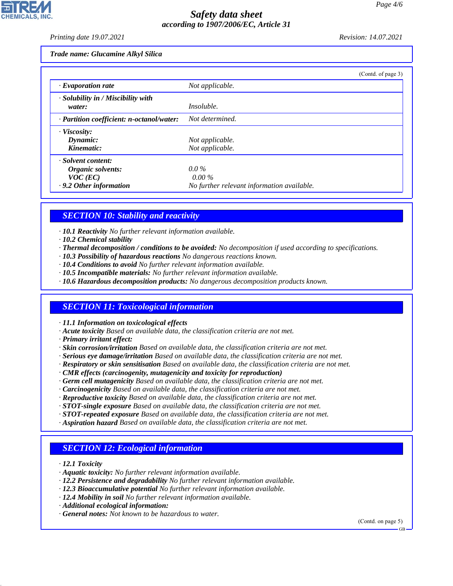*Printing date 19.07.2021 Revision: 14.07.2021*

*Trade name: Glucamine Alkyl Silica*

|                                                    | (Contd. of page 3)                         |  |
|----------------------------------------------------|--------------------------------------------|--|
| $\cdot$ Evaporation rate                           | Not applicable.                            |  |
| $\cdot$ Solubility in / Miscibility with<br>water: | <i>Insoluble.</i>                          |  |
| · Partition coefficient: n-octanol/water:          | Not determined.                            |  |
| · Viscosity:                                       |                                            |  |
| Dynamic:                                           | Not applicable.                            |  |
| Kinematic:                                         | Not applicable.                            |  |
| · Solvent content:                                 |                                            |  |
| Organic solvents:                                  | $0.0\%$                                    |  |
| $VOC$ (EC)                                         | $0.00\%$                                   |  |
| .9.2 Other information                             | No further relevant information available. |  |

## *SECTION 10: Stability and reactivity*

*· 10.1 Reactivity No further relevant information available.*

- *· 10.2 Chemical stability*
- *· Thermal decomposition / conditions to be avoided: No decomposition if used according to specifications.*
- *· 10.3 Possibility of hazardous reactions No dangerous reactions known.*
- *· 10.4 Conditions to avoid No further relevant information available.*
- *· 10.5 Incompatible materials: No further relevant information available.*
- *· 10.6 Hazardous decomposition products: No dangerous decomposition products known.*

## *SECTION 11: Toxicological information*

*· 11.1 Information on toxicological effects*

- *· Acute toxicity Based on available data, the classification criteria are not met.*
- *· Primary irritant effect:*
- *· Skin corrosion/irritation Based on available data, the classification criteria are not met.*
- *· Serious eye damage/irritation Based on available data, the classification criteria are not met.*
- *· Respiratory or skin sensitisation Based on available data, the classification criteria are not met.*
- *· CMR effects (carcinogenity, mutagenicity and toxicity for reproduction)*
- *· Germ cell mutagenicity Based on available data, the classification criteria are not met.*
- *· Carcinogenicity Based on available data, the classification criteria are not met.*
- *· Reproductive toxicity Based on available data, the classification criteria are not met.*
- *· STOT-single exposure Based on available data, the classification criteria are not met.*
- *· STOT-repeated exposure Based on available data, the classification criteria are not met.*
- *· Aspiration hazard Based on available data, the classification criteria are not met.*

## *SECTION 12: Ecological information*

*· 12.1 Toxicity*

44.1.1

- *· Aquatic toxicity: No further relevant information available.*
- *· 12.2 Persistence and degradability No further relevant information available.*
- *· 12.3 Bioaccumulative potential No further relevant information available.*
- *· 12.4 Mobility in soil No further relevant information available.*
- *· Additional ecological information:*
- *· General notes: Not known to be hazardous to water.*

(Contd. on page 5)

GB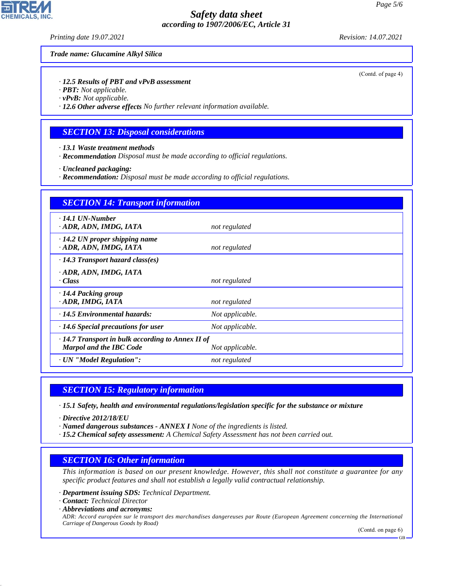*Printing date 19.07.2021 Revision: 14.07.2021*

#### *Trade name: Glucamine Alkyl Silica*

*· 12.5 Results of PBT and vPvB assessment*

*· PBT: Not applicable.*

*· vPvB: Not applicable.*

*· 12.6 Other adverse effects No further relevant information available.*

#### *SECTION 13: Disposal considerations*

*· 13.1 Waste treatment methods*

*· Recommendation Disposal must be made according to official regulations.*

*· Uncleaned packaging:*

*· Recommendation: Disposal must be made according to official regulations.*

| <b>SECTION 14: Transport information</b>                                                  |                 |  |  |  |
|-------------------------------------------------------------------------------------------|-----------------|--|--|--|
| $\cdot$ 14.1 UN-Number<br>· ADR, ADN, IMDG, IATA                                          | not regulated   |  |  |  |
| $\cdot$ 14.2 UN proper shipping name<br>· ADR, ADN, IMDG, IATA                            | not regulated   |  |  |  |
| $\cdot$ 14.3 Transport hazard class(es)                                                   |                 |  |  |  |
| · ADR, ADN, IMDG, IATA<br>· Class                                                         | not regulated   |  |  |  |
| $\cdot$ 14.4 Packing group<br>· ADR, IMDG, IATA                                           | not regulated   |  |  |  |
| $\cdot$ 14.5 Environmental hazards:                                                       | Not applicable. |  |  |  |
| $\cdot$ 14.6 Special precautions for user                                                 | Not applicable. |  |  |  |
| $\cdot$ 14.7 Transport in bulk according to Annex II of<br><b>Marpol and the IBC Code</b> | Not applicable. |  |  |  |
| · UN "Model Regulation":                                                                  | not regulated   |  |  |  |

#### *SECTION 15: Regulatory information*

*· 15.1 Safety, health and environmental regulations/legislation specific for the substance or mixture*

*· Directive 2012/18/EU*

- *· Named dangerous substances ANNEX I None of the ingredients is listed.*
- *· 15.2 Chemical safety assessment: A Chemical Safety Assessment has not been carried out.*

#### *SECTION 16: Other information*

*This information is based on our present knowledge. However, this shall not constitute a guarantee for any specific product features and shall not establish a legally valid contractual relationship.*

*· Department issuing SDS: Technical Department.*

*· Contact: Technical Director*

*· Abbreviations and acronyms:*

44.1.1

*ADR: Accord européen sur le transport des marchandises dangereuses par Route (European Agreement concerning the International Carriage of Dangerous Goods by Road)*

(Contd. on page 6)

**CHEMICALS** 

(Contd. of page 4)